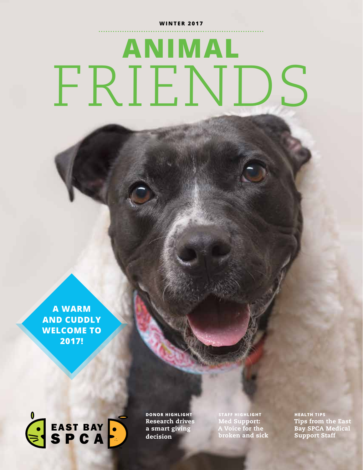#### **WINTER 2017**

# **ANIMAL** FRIENDS

**A WARM AND CUDDLY WELCOME TO 2017!** 



**DONOR HIGHLIGHT** Research drives a smart giving decision

**STAFF HIGHLIGHT** Med Support: A Voice for the broken and sick **HEALTH TIPS** Tips from the East Bay SPCA Medical Support Staff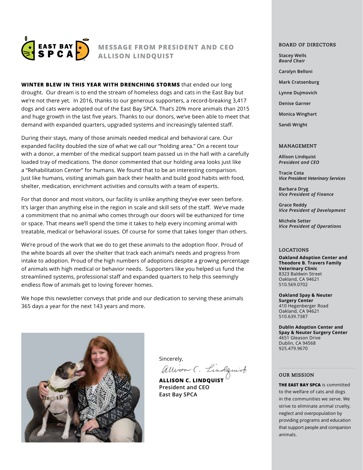

#### **MESSAGE FROM PRESIDENT AND CEO ALLISON LINDQUIST**

**WINTER BLEW IN THIS YEAR WITH DRENCHING STORMS** that ended our long drought. Our dream is to end the stream of homeless dogs and cats in the East Bay but we're not there yet. In 2016, thanks to our generous supporters, a record-breaking 3,417 dogs and cats were adopted out of the East Bay SPCA. That's 20% more animals than 2015 and huge growth in the last five years. Thanks to our donors, we've been able to meet that demand with expanded quarters, upgraded systems and increasingly talented staff.

During their stays, many of those animals needed medical and behavioral care. Our expanded facility doubled the size of what we call our "holding area." On a recent tour with a donor, a member of the medical support team passed us in the hall with a carefully loaded tray of medications. The donor commented that our holding area looks just like a "Rehabilitation Center" for humans. We found that to be an interesting comparison. Just like humans, visiting animals gain back their health and build good habits with food, shelter, medication, enrichment activities and consults with a team of experts.

For that donor and most visitors, our facility is unlike anything they've ever seen before. It's larger than anything else in the region in scale and skill sets of the staff. We've made a commitment that no animal who comes through our doors will be euthanized for time or space. That means we'll spend the time it takes to help every incoming animal with treatable, medical or behavioral issues. Of course for some that takes longer than others.

We're proud of the work that we do to get these animals to the adoption floor. Proud of the white boards all over the shelter that track each animal's needs and progress from intake to adoption. Proud of the high numbers of adoptions despite a growing percentage of animals with high medical or behavior needs. Supporters like you helped us fund the streamlined systems, professional staff and expanded quarters to help this seemingly endless flow of animals get to loving forever homes.

We hope this newsletter conveys that pride and our dedication to serving these animals 365 days a year for the next 143 years and more.



Sincerely,<br>Allison C. Lindquist

**ALLISON C. LINDQUIST President and CEO East Bay SPCA**

#### **BOARD OF DIRECTORS**

**Stacey Wells**  *Board Chair*

- **Carolyn Belloni**
- **Mark Cratsenburg**
- **Lynne Dujmovich**
- **Denise Garner**
- **Monica Winghart**

**Sandi Wright** 

#### **MANAGEMENT**

**Allison Lindquist** *President and CEO*

**Tracie Cota** *Vice President Veterinary Services*

**Barbara Dryg** *Vice President of Finance*

**Grace Reddy** *Vice President of Development* 

**Michele Setter** *Vice President of Operations*

#### **LOCATIONS**

**Oakland Adoption Center and Theodore B. Travers Family Veterinary Clinic**  8323 Baldwin Street Oakland, CA 94621 510.569.0702

**Oakland Spay & Neuter Surgery Center** 410 Hegenberger Road Oakland, CA 94621 510.639.7387

**Dublin Adoption Center and Spay & Neuter Surgery Center** 4651 Gleason Drive Dublin, CA 94568 925.479.9670

#### **OUR MISSION**

**THE EAST BAY SPCA** is committed to the welfare of cats and dogs in the communities we serve. We strive to eliminate animal cruelty, neglect and overpopulation by providing programs and education that support people and companion animals.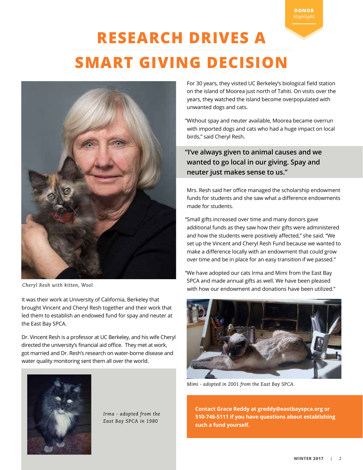**DONOR**

# **RESEARCH DRIVES A SMART GIVING DECISION**



 *Cheryl Resh with kitten, Wool*

It was their work at University of California, Berkeley that brought Vincent and Cheryl Resh together and their work that led them to establish an endowed fund for spay and neuter at the East Bay SPCA.

Dr. Vincent Resh is a professor at UC Berkeley, and his wife Cheryl directed the university's financial aid office. They met at work, got married and Dr. Resh's research on water-borne disease and water quality monitoring sent them all over the world.



*Irma - adopted from the East Bay SPCA in 1980* 

For 30 years, they visited UC Berkeley's biological field station on the island of Moorea just north of Tahiti. On visits over the years, they watched the island become overpopulated with unwanted dogs and cats.

"Without spay and neuter available, Moorea became overrun with imported dogs and cats who had a huge impact on local birds," said Cheryl Resh.

**"I've always given to animal causes and we wanted to go local in our giving. Spay and neuter just makes sense to us."** 

Mrs. Resh said her office managed the scholarship endowment funds for students and she saw what a difference endowments made for students.

"Small gifts increased over time and many donors gave additional funds as they saw how their gifts were administered and how the students were positively affected," she said. "We set up the Vincent and Cheryl Resh Fund because we wanted to make a difference locally with an endowment that could grow over time and be in place for an easy transition if we passed."

"We have adopted our cats Irma and Mimi from the East Bay SPCA and made annual gifts as well. We have been pleased with how our endowment and donations have been utilized."



*Mimi - adopted in 2001 from the East Bay SPCA*

**Contact Grace Reddy at greddy@eastbayspca.org or 510-746-5111 if you have questions about establishing such a fund yourself.**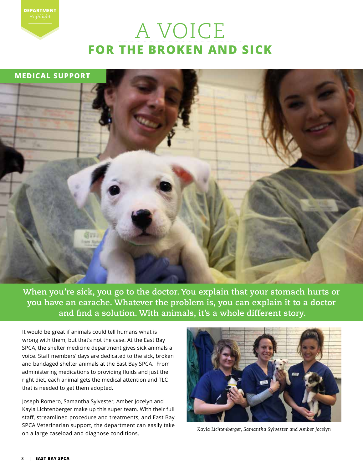# A VOICE **FOR THE BROKEN AND SICK**



**When you're sick, you go to the doctor. You explain that your stomach hurts or you have an earache. Whatever the problem is, you can explain it to a doctor and find a solution. With animals, it's a whole different story.** 

It would be great if animals could tell humans what is wrong with them, but that's not the case. At the East Bay SPCA, the shelter medicine department gives sick animals a voice. Staff members' days are dedicated to the sick, broken and bandaged shelter animals at the East Bay SPCA. From administering medications to providing fluids and just the right diet, each animal gets the medical attention and TLC that is needed to get them adopted.

Joseph Romero, Samantha Sylvester, Amber Jocelyn and Kayla Lichtenberger make up this super team. With their full staff, streamlined procedure and treatments, and East Bay SPCA Veterinarian support, the department can easily take on a large caseload and diagnose conditions.



*Kayla Lichtenberger, Samantha Sylvester and Amber Jocelyn* 

**DEPARTMENT**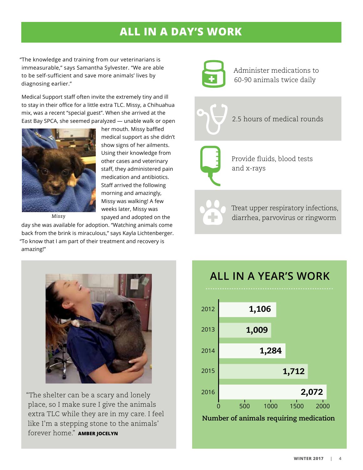## **ALL IN A DAY'S WORK**

"The knowledge and training from our veterinarians is immeasurable," says Samantha Sylvester. "We are able to be self-sufficient and save more animals' lives by diagnosing earlier."

Medical Support staff often invite the extremely tiny and ill to stay in their office for a little extra TLC. Missy, a Chihuahua mix, was a recent "special guest". When she arrived at the East Bay SPCA, she seemed paralyzed — unable walk or open



*Missy*

her mouth. Missy baffled medical support as she didn't show signs of her ailments. Using their knowledge from other cases and veterinary staff, they administered pain medication and antibiotics. Staff arrived the following morning and amazingly, Missy was walking! A few weeks later, Missy was spayed and adopted on the

day she was available for adoption. "Watching animals come back from the brink is miraculous," says Kayla Lichtenberger. "To know that I am part of their treatment and recovery is amazing!"



Administer medications to 60-90 animals twice daily

2.5 hours of medical rounds



Provide fluids, blood tests and x-rays

Treat upper respiratory infections, diarrhea, parvovirus or ringworm



"The shelter can be a scary and lonely place, so I make sure I give the animals extra TLC while they are in my care. I feel like I'm a stepping stone to the animals' forever home." **AMBER JOCELYN** 

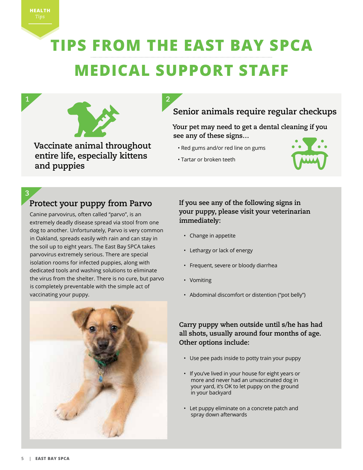# **TIPS FROM THE EAST BAY SPCA MEDICAL SUPPORT STAFF**

**2**



**Vaccinate animal throughout entire life, especially kittens and puppies**

## **Senior animals require regular checkups**

#### **Your pet may need to get a dental cleaning if you see any of these signs…**

- Red gums and/or red line on gums
- Tartar or broken teeth



#### **3**

### **Protect your puppy from Parvo**

Canine parvovirus, often called "parvo", is an extremely deadly disease spread via stool from one dog to another. Unfortunately, Parvo is very common in Oakland, spreads easily with rain and can stay in the soil up to eight years. The East Bay SPCA takes parvovirus extremely serious. There are special isolation rooms for infected puppies, along with dedicated tools and washing solutions to eliminate the virus from the shelter. There is no cure, but parvo is completely preventable with the simple act of vaccinating your puppy.



#### **If you see any of the following signs in your puppy, please visit your veterinarian immediately:**

- Change in appetite
- Lethargy or lack of energy
- Frequent, severe or bloody diarrhea
- Vomiting
- Abdominal discomfort or distention ("pot belly")

#### **Carry puppy when outside until s/he has had all shots, usually around four months of age. Other options include:**

- Use pee pads inside to potty train your puppy
- If you've lived in your house for eight years or more and never had an unvaccinated dog in your yard, it's OK to let puppy on the ground in your backyard
- Let puppy eliminate on a concrete patch and spray down afterwards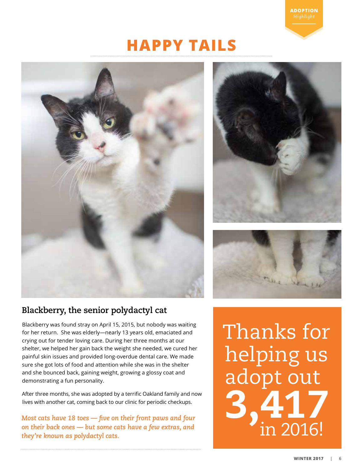## **HAPPY TAILS**







## **Blackberry, the senior polydactyl cat**

Blackberry was found stray on April 15, 2015, but nobody was waiting for her return. She was elderly—nearly 13 years old, emaciated and crying out for tender loving care. During her three months at our shelter, we helped her gain back the weight she needed, we cured her painful skin issues and provided long-overdue dental care. We made sure she got lots of food and attention while she was in the shelter and she bounced back, gaining weight, growing a glossy coat and demonstrating a fun personality.

After three months, she was adopted by a terrific Oakland family and now lives with another cat, coming back to our clinic for periodic checkups.

*Most cats have 18 toes — five on their front paws and four on their back ones — but some cats have a few extras, and they're known as polydactyl cats.*

Thanks for helping us adopt out 3,417 **in 2016!**